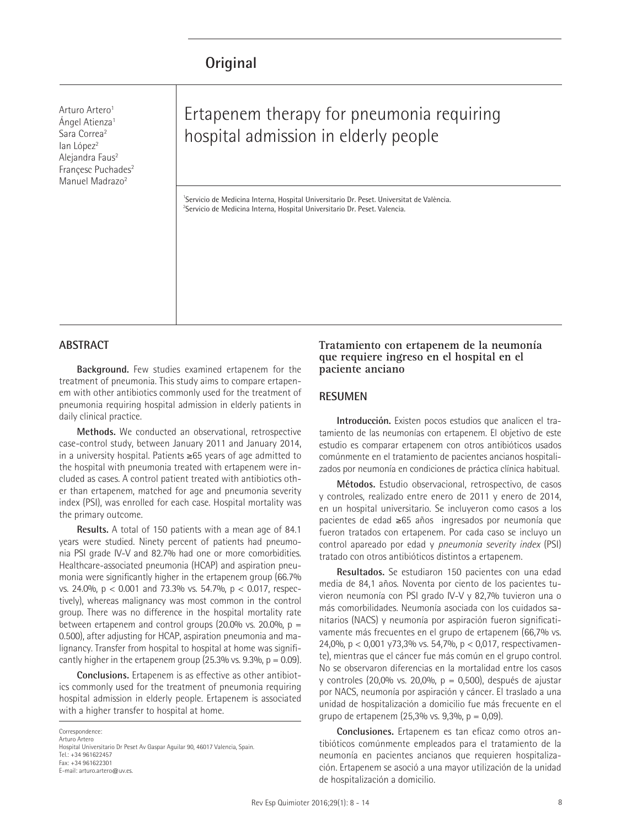Arturo Artero<sup>1</sup> Ángel Atienza1 Sara Correa2 lan López<sup>2</sup> Alejandra Faus<sup>2</sup> Francesc Puchades<sup>2</sup> Manuel Madrazo<sup>2</sup>

# Ertapenem therapy for pneumonia requiring hospital admission in elderly people

1 Servicio de Medicina Interna, Hospital Universitario Dr. Peset. Universitat de València. <sup>2</sup>Servicio de Medicina Interna, Hospital Universitario Dr. Peset. Valencia.

### **ABSTRACT**

**Background.** Few studies examined ertapenem for the treatment of pneumonia. This study aims to compare ertapenem with other antibiotics commonly used for the treatment of pneumonia requiring hospital admission in elderly patients in daily clinical practice.

**Methods.** We conducted an observational, retrospective case-control study, between January 2011 and January 2014, in a university hospital. Patients ≥65 years of age admitted to the hospital with pneumonia treated with ertapenem were included as cases. A control patient treated with antibiotics other than ertapenem, matched for age and pneumonia severity index (PSI), was enrolled for each case. Hospital mortality was the primary outcome.

**Results.** A total of 150 patients with a mean age of 84.1 years were studied. Ninety percent of patients had pneumonia PSI grade IV-V and 82.7% had one or more comorbidities. Healthcare-associated pneumonia (HCAP) and aspiration pneumonia were significantly higher in the ertapenem group (66.7% vs. 24.0%, p < 0.001 and 73.3% vs. 54.7%, p < 0.017, respectively), whereas malignancy was most common in the control group. There was no difference in the hospital mortality rate between ertapenem and control groups (20.0% vs. 20.0%,  $p =$ 0.500), after adjusting for HCAP, aspiration pneumonia and malignancy. Transfer from hospital to hospital at home was significantly higher in the ertapenem group  $(25.3\% \text{ vs. } 9.3\% \text{ p} = 0.09)$ .

**Conclusions.** Ertapenem is as effective as other antibiotics commonly used for the treatment of pneumonia requiring hospital admission in elderly people. Ertapenem is associated with a higher transfer to hospital at home.

Correspondence: Arturo Artero Hospital Universitario Dr Peset Av Gaspar Aguilar 90, 46017 Valencia, Spain. Tel.: +34 961622457 Fax: +34 961622301 E-mail: arturo.artero@uv.es.

# **Tratamiento con ertapenem de la neumonía que requiere ingreso en el hospital en el paciente anciano**

#### **RESUMEN**

**Introducción.** Existen pocos estudios que analicen el tratamiento de las neumonías con ertapenem. El objetivo de este estudio es comparar ertapenem con otros antibióticos usados comúnmente en el tratamiento de pacientes ancianos hospitalizados por neumonía en condiciones de práctica clínica habitual.

**Métodos.** Estudio observacional, retrospectivo, de casos y controles, realizado entre enero de 2011 y enero de 2014, en un hospital universitario. Se incluyeron como casos a los pacientes de edad ≥65 años ingresados por neumonía que fueron tratados con ertapenem. Por cada caso se incluyo un control apareado por edad y *pneumonia severity index* (PSI) tratado con otros antibióticos distintos a ertapenem.

**Resultados.** Se estudiaron 150 pacientes con una edad media de 84,1 años. Noventa por ciento de los pacientes tuvieron neumonía con PSI grado IV-V y 82,7% tuvieron una o más comorbilidades. Neumonía asociada con los cuidados sanitarios (NACS) y neumonía por aspiración fueron significativamente más frecuentes en el grupo de ertapenem (66,7% vs. 24,0%, p < 0,001 y73,3% vs. 54,7%, p < 0,017, respectivamente), mientras que el cáncer fue más común en el grupo control. No se observaron diferencias en la mortalidad entre los casos y controles (20,0% vs. 20,0%, p = 0,500), después de ajustar por NACS, neumonía por aspiración y cáncer. El traslado a una unidad de hospitalización a domicilio fue más frecuente en el grupo de ertapenem (25,3% vs. 9,3%, p = 0,09).

**Conclusiones.** Ertapenem es tan eficaz como otros antibióticos comúnmente empleados para el tratamiento de la neumonía en pacientes ancianos que requieren hospitalización. Ertapenem se asoció a una mayor utilización de la unidad de hospitalización a domicilio.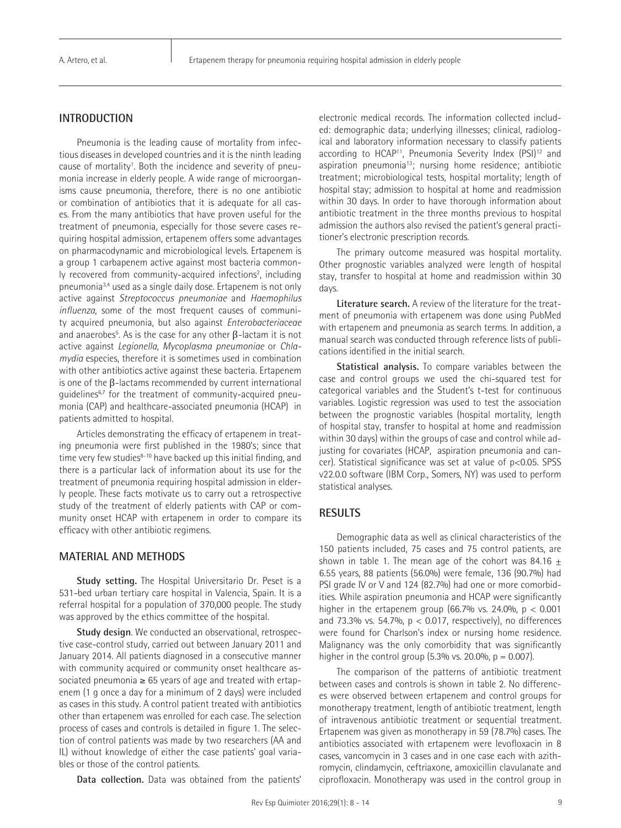# **INTRODUCTION**

Pneumonia is the leading cause of mortality from infectious diseases in developed countries and it is the ninth leading cause of mortality<sup>1</sup>. Both the incidence and severity of pneumonia increase in elderly people. A wide range of microorganisms cause pneumonia, therefore, there is no one antibiotic or combination of antibiotics that it is adequate for all cases. From the many antibiotics that have proven useful for the treatment of pneumonia, especially for those severe cases requiring hospital admission, ertapenem offers some advantages on pharmacodynamic and microbiological levels. Ertapenem is a group 1 carbapenem active against most bacteria commonly recovered from community-acquired infections<sup>2</sup>, including pneumonia3,4 used as a single daily dose. Ertapenem is not only active against *Streptococcus pneumoniae* and *Haemophilus influenza*, some of the most frequent causes of community acquired pneumonia, but also against *Enterobacteriaceae* and anaerobes $^5$ . As is the case for any other β-lactam it is not active against *Legionella*, *Mycoplasma pneumoniae* or *Chlamydia* especies, therefore it is sometimes used in combination with other antibiotics active against these bacteria. Ertapenem is one of the β-lactams recommended by current international guidelines6,7 for the treatment of community-acquired pneumonia (CAP) and healthcare-associated pneumonia (HCAP) in patients admitted to hospital.

Articles demonstrating the efficacy of ertapenem in treating pneumonia were first published in the 1980's; since that time very few studies<sup>8-10</sup> have backed up this initial finding, and there is a particular lack of information about its use for the treatment of pneumonia requiring hospital admission in elderly people. These facts motivate us to carry out a retrospective study of the treatment of elderly patients with CAP or community onset HCAP with ertapenem in order to compare its efficacy with other antibiotic regimens.

#### **MATERIAL AND METHODS**

**Study setting.** The Hospital Universitario Dr. Peset is a 531-bed urban tertiary care hospital in Valencia, Spain. It is a referral hospital for a population of 370,000 people. The study was approved by the ethics committee of the hospital.

**Study design**. We conducted an observational, retrospective case-control study, carried out between January 2011 and January 2014. All patients diagnosed in a consecutive manner with community acquired or community onset healthcare associated pneumonia  $\geq 65$  years of age and treated with ertapenem (1 g once a day for a minimum of 2 days) were included as cases in this study. A control patient treated with antibiotics other than ertapenem was enrolled for each case. The selection process of cases and controls is detailed in figure 1. The selection of control patients was made by two researchers (AA and IL) without knowledge of either the case patients' goal variables or those of the control patients.

**Data collection.** Data was obtained from the patients'

electronic medical records. The information collected included: demographic data; underlying illnesses; clinical, radiological and laboratory information necessary to classify patients according to HCAP<sup>11</sup>, Pneumonia Severity Index (PSI)<sup>12</sup> and aspiration pneumonia<sup>13</sup>; nursing home residence; antibiotic treatment; microbiological tests, hospital mortality; length of hospital stay; admission to hospital at home and readmission within 30 days. In order to have thorough information about antibiotic treatment in the three months previous to hospital admission the authors also revised the patient's general practitioner's electronic prescription records.

The primary outcome measured was hospital mortality. Other prognostic variables analyzed were length of hospital stay, transfer to hospital at home and readmission within 30 days.

**Literature search.** A review of the literature for the treatment of pneumonia with ertapenem was done using PubMed with ertapenem and pneumonia as search terms. In addition, a manual search was conducted through reference lists of publications identified in the initial search.

**Statistical analysis.** To compare variables between the case and control groups we used the chi-squared test for categorical variables and the Student's t-test for continuous variables. Logistic regression was used to test the association between the prognostic variables (hospital mortality, length of hospital stay, transfer to hospital at home and readmission within 30 days) within the groups of case and control while adjusting for covariates (HCAP, aspiration pneumonia and cancer). Statistical significance was set at value of p<0.05. SPSS v22.0.0 software (IBM Corp., Somers, NY) was used to perform statistical analyses.

#### **RESULTS**

Demographic data as well as clinical characteristics of the 150 patients included, 75 cases and 75 control patients, are shown in table 1. The mean age of the cohort was 84.16  $\pm$ 6.55 years, 88 patients (56.0%) were female, 136 (90.7%) had PSI grade IV or V and 124 (82.7%) had one or more comorbidities. While aspiration pneumonia and HCAP were significantly higher in the ertapenem group (66.7% vs. 24.0%,  $p < 0.001$ ) and 73.3% vs. 54.7%,  $p < 0.017$ , respectively), no differences were found for Charlson's index or nursing home residence. Malignancy was the only comorbidity that was significantly higher in the control group  $(5.3\% \text{ vs. } 20.0\% \text{, } p = 0.007)$ .

The comparison of the patterns of antibiotic treatment between cases and controls is shown in table 2. No differences were observed between ertapenem and control groups for monotherapy treatment, length of antibiotic treatment, length of intravenous antibiotic treatment or sequential treatment. Ertapenem was given as monotherapy in 59 (78.7%) cases. The antibiotics associated with ertapenem were levofloxacin in 8 cases, vancomycin in 3 cases and in one case each with azithromycin, clindamycin, ceftriaxone, amoxicillin clavulanate and ciprofloxacin. Monotherapy was used in the control group in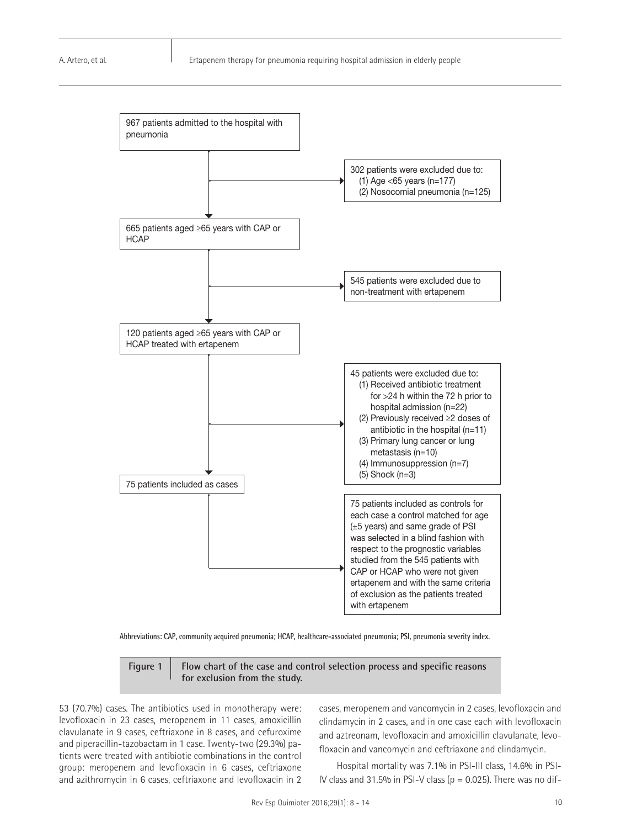

**Abbreviations: CAP, community acquired pneumonia; HCAP, healthcare-associated pneumonia; PSI, pneumonia severity index.**

**Figure 1 Flow chart of the case and control selection process and specific reasons for exclusion from the study.**

53 (70.7%) cases. The antibiotics used in monotherapy were: levofloxacin in 23 cases, meropenem in 11 cases, amoxicillin clavulanate in 9 cases, ceftriaxone in 8 cases, and cefuroxime and piperacillin-tazobactam in 1 case. Twenty-two (29.3%) patients were treated with antibiotic combinations in the control group: meropenem and levofloxacin in 6 cases, ceftriaxone and azithromycin in 6 cases, ceftriaxone and levofloxacin in 2 cases, meropenem and vancomycin in 2 cases, levofloxacin and clindamycin in 2 cases, and in one case each with levofloxacin and aztreonam, levofloxacin and amoxicillin clavulanate, levofloxacin and vancomycin and ceftriaxone and clindamycin.

Hospital mortality was 7.1% in PSI-III class, 14.6% in PSI-IV class and 31.5% in PSI-V class ( $p = 0.025$ ). There was no dif-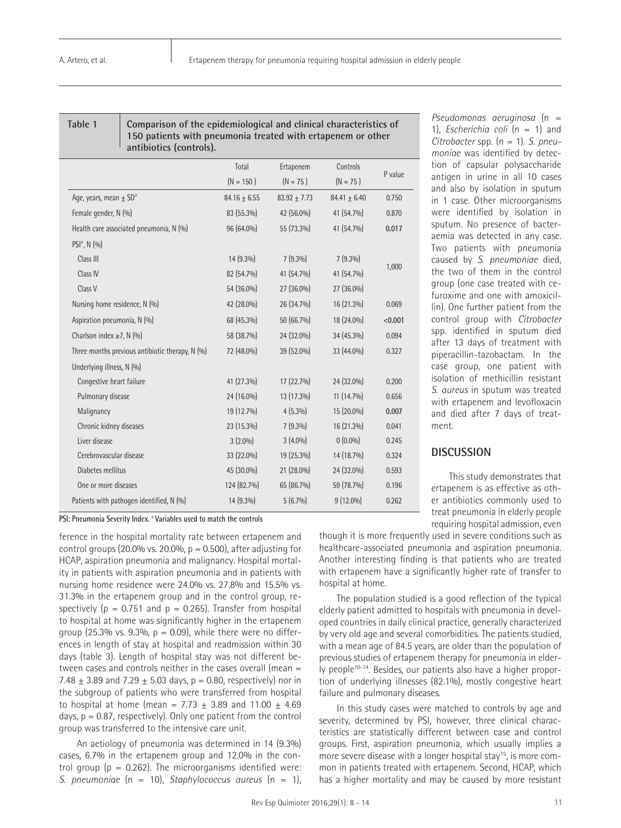**Table 1 Comparison of the epidemiological and clinical characteristics of 150 patients with pneumonia treated with ertapenem or other antibiotics (controls).**

|                                                 | Total            | Ertapenem        | Controls       | P value |  |
|-------------------------------------------------|------------------|------------------|----------------|---------|--|
|                                                 | $(N = 150)$      | $(N = 75)$       | $(N = 75)$     |         |  |
| Age, years, mean $\pm$ SD <sup>a</sup>          | $84.16 \pm 6.55$ | $83.92 \pm 7.73$ | $84.41 + 6.40$ | 0.750   |  |
| Female gender, N (%)                            | 83 (55.3%)       | 42 (56.0%)       | 41 (54.7%)     | 0.870   |  |
| Health care associated pneumonia, N (%)         | 96 (64.0%)       | 55 (73.3%)       | 41 (54.7%)     | 0.017   |  |
| $PSIa$ , N $(9/0)$                              |                  |                  |                |         |  |
| Class III                                       | 14 (9.3%)        | $7(9.3\%)$       | $7(9.3\%)$     | 1,000   |  |
| Class IV                                        | 82 (54.7%)       | 41 (54.7%)       | 41 (54.7%)     |         |  |
| Class V                                         | 54 (36.0%)       | 27 (36.0%)       | 27 (36.0%)     |         |  |
| Nursing home residence, N (%)                   | 42 (28.0%)       | 26 (34.7%)       | 16 (21.3%)     | 0.069   |  |
| Aspiration pneumonia, N (%)                     | 68 (45.3%)       | 50 (66.7%)       | 18 (24.0%)     | < 0.001 |  |
| Charlson index $\geq 7$ , N (%)                 | 58 (38.7%)       | 24 (32.0%)       | 34 (45.3%)     | 0.094   |  |
| Three months previous antibiotic therapy, N (%) | 72 (48.0%)       | 39 (52.0%)       | 33 (44.0%)     | 0.327   |  |
| Underlying illness, N (%)                       |                  |                  |                |         |  |
| Congestive heart failure                        | 41 (27.3%)       | 17 (22.7%)       | 24 (32.0%)     | 0.200   |  |
| Pulmonary disease                               | 24 (16.0%)       | 13 (17.3%)       | $11(14.7\%)$   | 0.656   |  |
| Malignancy                                      | 19 (12.7%)       | 4(5.3%)          | 15 (20.0%)     | 0.007   |  |
| Chronic kidney diseases                         | 23 (15.3%)       | $7(9.3\%)$       | 16 (21.3%)     | 0.041   |  |
| Liver disease                                   | $3(2.0\%)$       | $3(4.0\%)$       | $0(0.0\%)$     | 0.245   |  |
| Cerebrovascular disease                         | 33 (22.0%)       | 19 (25.3%)       | 14 (18.7%)     | 0.324   |  |
| Diabetes mellitus                               | 45 (30.0%)       | 21 (28.0%)       | 24 (32.0%)     | 0.593   |  |
| One or more diseases                            | 124 (82.7%)      | 65 (86.7%)       | 59 (78.7%)     | 0.196   |  |
| Patients with pathogen identified, N (%)        | 14 (9.3%)        | $5(6.7\%)$       | $9(12.0\%)$    | 0.262   |  |

*Pseudomonas aeruginosa* (n = 1), *Escherichia coli* (n = 1) and *Citrobacter* spp. (n = 1). *S. pneumoniae* was identified by detection of capsular polysaccharide antigen in urine in all 10 cases and also by isolation in sputum in 1 case. Other microorganisms were identified by isolation in sputum. No presence of bacteraemia was detected in any case. Two patients with pneumonia caused by *S. pneumoniae* died, the two of them in the control group (one case treated with cefuroxime and one with amoxicillin). One further patient from the control group with *Citrobacter* spp. identified in sputum died after 13 days of treatment with piperacillin-tazobactam. In the case group, one patient with isolation of methicillin resistant *S. aureus* in sputum was treated with ertapenem and levofloxacin and died after 7 days of treatment.

#### **DISCUSSION**

This study demonstrates that ertapenem is as effective as other antibiotics commonly used to treat pneumonia in elderly people requiring hospital admission, even

**PSI: Pneumonia Severity Index.** a **Variables used to match the controls**

ference in the hospital mortality rate between ertapenem and control groups  $(20.0\% \text{ vs. } 20.0\% \text{ p} = 0.500)$ , after adjusting for HCAP, aspiration pneumonia and malignancy. Hospital mortality in patients with aspiration pneumonia and in patients with nursing home residence were 24.0% vs. 27.8% and 15.5% vs. 31.3% in the ertapenem group and in the control group, respectively ( $p = 0.751$  and  $p = 0.265$ ). Transfer from hospital to hospital at home was significantly higher in the ertapenem group (25.3% vs. 9.3%,  $p = 0.09$ ), while there were no differences in length of stay at hospital and readmission within 30 days (table 3). Length of hospital stay was not different between cases and controls neither in the cases overall (mean = 7.48  $\pm$  3.89 and 7.29  $\pm$  5.03 days, p = 0.80, respectively) nor in the subgroup of patients who were transferred from hospital to hospital at home (mean = 7.73  $\pm$  3.89 and 11.00  $\pm$  4.69 days,  $p = 0.87$ , respectively). Only one patient from the control group was transferred to the intensive care unit.

An aetiology of pneumonia was determined in 14 (9.3%) cases, 6.7% in the ertapenem group and 12.0% in the control group ( $p = 0.262$ ). The microorganisms identified were: *S. pneumoniae* (n = 10), *Staphylococcus aureus* (n = 1), though it is more frequently used in severe conditions such as healthcare-associated pneumonia and aspiration pneumonia. Another interesting finding is that patients who are treated with ertapenem have a significantly higher rate of transfer to hospital at home.

The population studied is a good reflection of the typical elderly patient admitted to hospitals with pneumonia in developed countries in daily clinical practice, generally characterized by very old age and several comorbidities. The patients studied, with a mean age of 84.5 years, are older than the population of previous studies of ertapenem therapy for pneumonia in elderly people<sup>10-14</sup>. Besides, our patients also have a higher proportion of underlying illnesses (82.1%), mostly congestive heart failure and pulmonary diseases.

In this study cases were matched to controls by age and severity, determined by PSI, however, three clinical characteristics are statistically different between case and control groups. First, aspiration pneumonia, which usually implies a more severe disease with a longer hospital stay<sup>15</sup>, is more common in patients treated with ertapenem. Second, HCAP, which has a higher mortality and may be caused by more resistant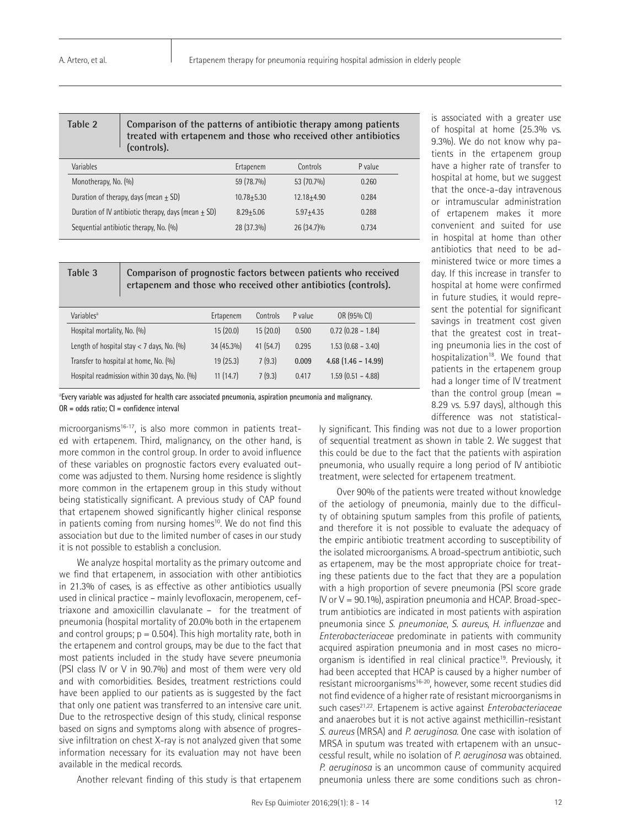| Table 2   | Comparison of the patterns of antibiotic therapy among patients<br>treated with ertapenem and those who received other antibiotics<br>(controls). |           |          |         |  |
|-----------|---------------------------------------------------------------------------------------------------------------------------------------------------|-----------|----------|---------|--|
| Variables |                                                                                                                                                   | Ertapenem | Controls | P value |  |

| . <i>. .</i>                                          | <u>LIUWULILII</u> | <u>CUILLUIJ</u> | $\cdots$ |  |
|-------------------------------------------------------|-------------------|-----------------|----------|--|
| Monotherapy, No. (%)                                  | 59 (78.7%)        | 53 (70.7%)      | 0.260    |  |
| Duration of therapy, days (mean $\pm$ SD)             | $10.78 + 5.30$    | $12.18 + 4.90$  | 0.284    |  |
| Duration of IV antibiotic therapy, days (mean $+$ SD) | $8.29 + 5.06$     | $5.97 + 4.35$   | 0.288    |  |
| Sequential antibiotic therapy, No. (%)                | 28 (37.3%)        | 26 (34.7)%      | 0.734    |  |
|                                                       |                   |                 |          |  |

**Table 3 Comparison of prognostic factors between patients who received ertapenem and those who received other antibiotics (controls).**

| Variables <sup>a</sup>                        | Ertapenem  | Controls | P value | OR (95% CI)            |  |
|-----------------------------------------------|------------|----------|---------|------------------------|--|
| Hospital mortality, No. (%)                   | 15(20.0)   | 15(20.0) | 0.500   | $0.72$ (0.28 - 1.84)   |  |
| Length of hospital stay $<$ 7 days, No. $(%)$ | 34 (45.3%) | 41(54.7) | 0.295   | $1.53$ $(0.68 - 3.40)$ |  |
| Transfer to hospital at home, No. (%)         | 19(25.3)   | 7(9.3)   | 0.009   | $4.68$ (1.46 – 14.99)  |  |
| Hospital readmission within 30 days, No. (%)  | 11(14.7)   | 7(9.3)   | 0.417   | $1.59$ $(0.51 - 4.88)$ |  |
|                                               |            |          |         |                        |  |

a **Every variable was adjusted for health care associated pneumonia, aspiration pneumonia and malignancy. OR = odds ratio; CI = confidence interval**

microorganisms<sup>16-17</sup>, is also more common in patients treated with ertapenem. Third, malignancy, on the other hand, is more common in the control group. In order to avoid influence of these variables on prognostic factors every evaluated outcome was adjusted to them. Nursing home residence is slightly more common in the ertapenem group in this study without being statistically significant. A previous study of CAP found that ertapenem showed significantly higher clinical response in patients coming from nursing homes<sup>10</sup>. We do not find this association but due to the limited number of cases in our study it is not possible to establish a conclusion.

We analyze hospital mortality as the primary outcome and we find that ertapenem, in association with other antibiotics in 21.3% of cases, is as effective as other antibiotics usually used in clinical practice – mainly levofloxacin, meropenem, ceftriaxone and amoxicillin clavulanate – for the treatment of pneumonia (hospital mortality of 20.0% both in the ertapenem and control groups;  $p = 0.504$ ). This high mortality rate, both in the ertapenem and control groups, may be due to the fact that most patients included in the study have severe pneumonia (PSI class IV or V in 90.7%) and most of them were very old and with comorbidities. Besides, treatment restrictions could have been applied to our patients as is suggested by the fact that only one patient was transferred to an intensive care unit. Due to the retrospective design of this study, clinical response based on signs and symptoms along with absence of progressive infiltration on chest X-ray is not analyzed given that some information necessary for its evaluation may not have been available in the medical records.

Another relevant finding of this study is that ertapenem

is associated with a greater use of hospital at home (25.3% vs. 9.3%). We do not know why patients in the ertapenem group have a higher rate of transfer to hospital at home, but we suggest that the once-a-day intravenous or intramuscular administration of ertapenem makes it more convenient and suited for use in hospital at home than other antibiotics that need to be administered twice or more times a day. If this increase in transfer to hospital at home were confirmed in future studies, it would represent the potential for significant savings in treatment cost given that the greatest cost in treating pneumonia lies in the cost of hospitalization<sup>18</sup>. We found that patients in the ertapenem group had a longer time of IV treatment than the control group (mean  $=$ 8.29 vs. 5.97 days), although this difference was not statistical-

ly significant. This finding was not due to a lower proportion of sequential treatment as shown in table 2. We suggest that this could be due to the fact that the patients with aspiration pneumonia, who usually require a long period of IV antibiotic treatment, were selected for ertapenem treatment.

Over 90% of the patients were treated without knowledge of the aetiology of pneumonia, mainly due to the difficulty of obtaining sputum samples from this profile of patients, and therefore it is not possible to evaluate the adequacy of the empiric antibiotic treatment according to susceptibility of the isolated microorganisms. A broad-spectrum antibiotic, such as ertapenem, may be the most appropriate choice for treating these patients due to the fact that they are a population with a high proportion of severe pneumonia (PSI score grade IV or  $V = 90.1\%$ ), aspiration pneumonia and HCAP. Broad-spectrum antibiotics are indicated in most patients with aspiration pneumonia since *S. pneumoniae*, *S. aureus*, *H. influenzae* and *Enterobacteriaceae* predominate in patients with community acquired aspiration pneumonia and in most cases no microorganism is identified in real clinical practice<sup>19</sup>. Previously, it had been accepted that HCAP is caused by a higher number of resistant microorganisms<sup>16-20</sup>, however, some recent studies did not find evidence of a higher rate of resistant microorganisms in such cases<sup>21,22</sup>. Ertapenem is active against *Enterobacteriaceae* and anaerobes but it is not active against methicillin-resistant *S. aureus* (MRSA) and *P. aeruginosa*. One case with isolation of MRSA in sputum was treated with ertapenem with an unsuccessful result, while no isolation of *P. aeruginosa* was obtained. *P. aeruginosa* is an uncommon cause of community acquired pneumonia unless there are some conditions such as chron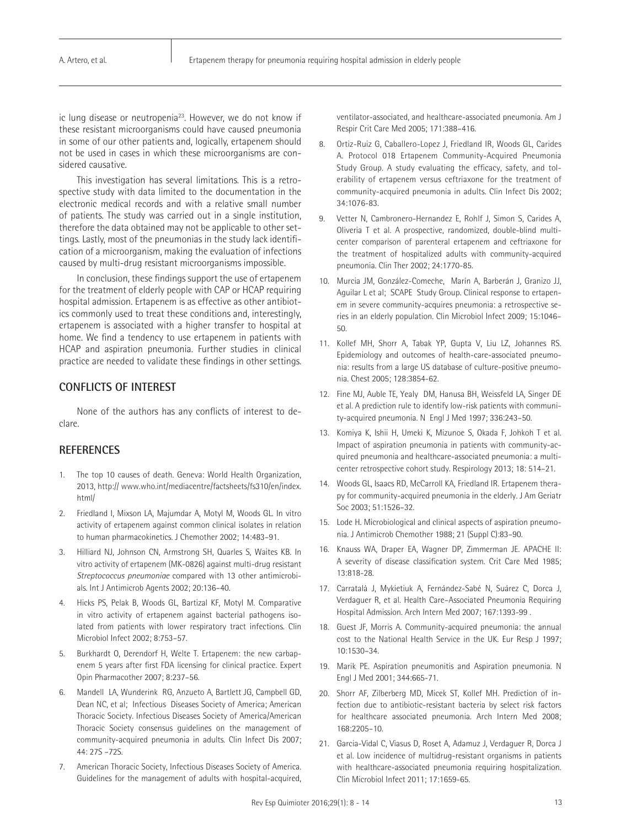ic lung disease or neutropenia<sup>23</sup>. However, we do not know if these resistant microorganisms could have caused pneumonia in some of our other patients and, logically, ertapenem should not be used in cases in which these microorganisms are considered causative.

This investigation has several limitations. This is a retrospective study with data limited to the documentation in the electronic medical records and with a relative small number of patients. The study was carried out in a single institution, therefore the data obtained may not be applicable to other settings. Lastly, most of the pneumonias in the study lack identification of a microorganism, making the evaluation of infections caused by multi-drug resistant microorganisms impossible.

In conclusion, these findings support the use of ertapenem for the treatment of elderly people with CAP or HCAP requiring hospital admission. Ertapenem is as effective as other antibiotics commonly used to treat these conditions and, interestingly, ertapenem is associated with a higher transfer to hospital at home. We find a tendency to use ertapenem in patients with HCAP and aspiration pneumonia. Further studies in clinical practice are needed to validate these findings in other settings.

## **CONFLICTS OF INTEREST**

None of the authors has any conflicts of interest to declare.

# **REFERENCES**

- 1. The top 10 causes of death. Geneva: World Health Organization, 2013, http:// www.who.int/mediacentre/factsheets/fs310/en/index. html/
- 2. Friedland I, Mixson LA, Majumdar A, Motyl M, Woods GL. In vitro activity of ertapenem against common clinical isolates in relation to human pharmacokinetics. J Chemother 2002; 14:483–91.
- 3. Hilliard NJ, Johnson CN, Armstrong SH, Quarles S, Waites KB. In vitro activity of ertapenem (MK-0826) against multi-drug resistant *Streptococcus pneumoniae* compared with 13 other antimicrobials. Int J Antimicrob Agents 2002; 20:136–40.
- 4. Hicks PS, Pelak B, Woods GL, Bartizal KF, Motyl M. Comparative in vitro activity of ertapenem against bacterial pathogens isolated from patients with lower respiratory tract infections. Clin Microbiol Infect 2002; 8:753–57.
- Burkhardt O, Derendorf H, Welte T. Ertapenem: the new carbapenem 5 years after first FDA licensing for clinical practice. Expert Opin Pharmacother 2007; 8:237–56.
- 6. Mandell LA, Wunderink RG, Anzueto A, Bartlett JG, Campbell GD, Dean NC, et al; Infectious Diseases Society of America; American Thoracic Society. Infectious Diseases Society of America/American Thoracic Society consensus guidelines on the management of community-acquired pneumonia in adults. Clin Infect Dis 2007; 44: 27S –72S.
- 7. American Thoracic Society, Infectious Diseases Society of America. Guidelines for the management of adults with hospital-acquired,

ventilator-associated, and healthcare-associated pneumonia. Am J Respir Crit Care Med 2005; 171:388–416.

- 8. Ortiz-Ruiz G, Caballero-Lopez J, Friedland IR, Woods GL, Carides A. Protocol 018 Ertapenem Community-Acquired Pneumonia Study Group. A study evaluating the efficacy, safety, and tolerability of ertapenem versus ceftriaxone for the treatment of community-acquired pneumonia in adults. Clin Infect Dis 2002; 34:1076-83.
- 9. Vetter N, Cambronero-Hernandez E, Rohlf J, Simon S, Carides A, Oliveria T et al. A prospective, randomized, double-blind multicenter comparison of parenteral ertapenem and ceftriaxone for the treatment of hospitalized adults with community-acquired pneumonia. Clin Ther 2002; 24:1770-85.
- 10. Murcia JM, González-Comeche, Marín A, Barberán J, Granizo JJ, Aguilar L et al; SCAPE Study Group. Clinical response to ertapenem in severe community-acquires pneumonia: a retrospective series in an elderly population. Clin Microbiol Infect 2009; 15:1046– 50.
- 11. Kollef MH, Shorr A, Tabak YP, Gupta V, Liu LZ, Johannes RS. Epidemiology and outcomes of health-care-associated pneumonia: results from a large US database of culture-positive pneumonia. Chest 2005; 128:3854-62.
- 12. Fine MJ, Auble TE, Yealy DM, Hanusa BH, Weissfeld LA, Singer DE et al. A prediction rule to identify low-risk patients with community-acquired pneumonia. N Engl J Med 1997; 336:243–50.
- 13. Komiya K, Ishii H, Umeki K, Mizunoe S, Okada F, Johkoh T et al. Impact of aspiration pneumonia in patients with community-acquired pneumonia and healthcare-associated pneumonia: a multicenter retrospective cohort study. Respirology 2013; 18: 514–21.
- 14. Woods GL, Isaacs RD, McCarroll KA, Friedland IR. Ertapenem therapy for community-acquired pneumonia in the elderly. J Am Geriatr Soc 2003; 51:1526–32.
- 15. Lode H. Microbiological and clinical aspects of aspiration pneumonia. J Antimicrob Chemother 1988; 21 (Suppl C):83–90.
- 16. Knauss WA, Draper EA, Wagner DP, Zimmerman JE. APACHE II: A severity of disease classification system. Crit Care Med 1985; 13:818-28.
- 17. Carratalà J, Mykietiuk A, Fernández-Sabé N, Suárez C, Dorca J, Verdaguer R, et al. Health Care–Associated Pneumonia Requiring Hospital Admission. Arch Intern Med 2007; 167:1393-99 .
- 18. Guest JF, Morris A. Community-acquired pneumonia: the annual cost to the National Health Service in the UK. Eur Resp J 1997; 10:1530–34.
- 19. Marik PE. Aspiration pneumonitis and Aspiration pneumonia. N Engl J Med 2001; 344:665-71.
- 20. Shorr AF, Zilberberg MD, Micek ST, Kollef MH. Prediction of infection due to antibiotic-resistant bacteria by select risk factors for healthcare associated pneumonia. Arch Intern Med 2008; 168:2205–10.
- 21. Garcia-Vidal C, Viasus D, Roset A, Adamuz J, Verdaguer R, Dorca J et al. Low incidence of multidrug-resistant organisms in patients with healthcare-associated pneumonia requiring hospitalization. Clin Microbiol Infect 2011; 17:1659-65.